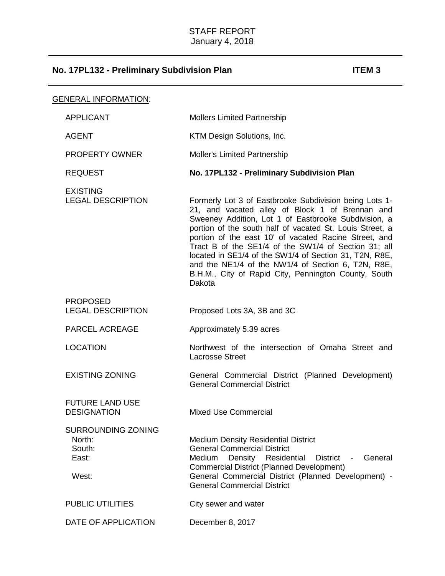| <b>GENERAL INFORMATION:</b> |                                                                 |                                                                                                                                                                                                                                                                                                                                                                                                                                                                                                                                  |
|-----------------------------|-----------------------------------------------------------------|----------------------------------------------------------------------------------------------------------------------------------------------------------------------------------------------------------------------------------------------------------------------------------------------------------------------------------------------------------------------------------------------------------------------------------------------------------------------------------------------------------------------------------|
|                             | <b>APPLICANT</b>                                                | <b>Mollers Limited Partnership</b>                                                                                                                                                                                                                                                                                                                                                                                                                                                                                               |
|                             | <b>AGENT</b>                                                    | KTM Design Solutions, Inc.                                                                                                                                                                                                                                                                                                                                                                                                                                                                                                       |
|                             | <b>PROPERTY OWNER</b>                                           | <b>Moller's Limited Partnership</b>                                                                                                                                                                                                                                                                                                                                                                                                                                                                                              |
|                             | <b>REQUEST</b>                                                  | No. 17PL132 - Preliminary Subdivision Plan                                                                                                                                                                                                                                                                                                                                                                                                                                                                                       |
|                             | <b>EXISTING</b><br><b>LEGAL DESCRIPTION</b>                     | Formerly Lot 3 of Eastbrooke Subdivision being Lots 1-<br>21, and vacated alley of Block 1 of Brennan and<br>Sweeney Addition, Lot 1 of Eastbrooke Subdivision, a<br>portion of the south half of vacated St. Louis Street, a<br>portion of the east 10' of vacated Racine Street, and<br>Tract B of the SE1/4 of the SW1/4 of Section 31; all<br>located in SE1/4 of the SW1/4 of Section 31, T2N, R8E,<br>and the NE1/4 of the NW1/4 of Section 6, T2N, R8E,<br>B.H.M., City of Rapid City, Pennington County, South<br>Dakota |
|                             | <b>PROPOSED</b><br><b>LEGAL DESCRIPTION</b>                     | Proposed Lots 3A, 3B and 3C                                                                                                                                                                                                                                                                                                                                                                                                                                                                                                      |
|                             | PARCEL ACREAGE                                                  | Approximately 5.39 acres                                                                                                                                                                                                                                                                                                                                                                                                                                                                                                         |
|                             | <b>LOCATION</b>                                                 | Northwest of the intersection of Omaha Street and<br><b>Lacrosse Street</b>                                                                                                                                                                                                                                                                                                                                                                                                                                                      |
|                             | <b>EXISTING ZONING</b>                                          | General Commercial District (Planned Development)<br><b>General Commercial District</b>                                                                                                                                                                                                                                                                                                                                                                                                                                          |
|                             | <b>FUTURE LAND USE</b><br><b>DESIGNATION</b>                    | <b>Mixed Use Commercial</b>                                                                                                                                                                                                                                                                                                                                                                                                                                                                                                      |
|                             | <b>SURROUNDING ZONING</b><br>North:<br>South:<br>East:<br>West: | <b>Medium Density Residential District</b><br><b>General Commercial District</b><br>Density Residential<br>District -<br>General<br>Medium<br><b>Commercial District (Planned Development)</b><br>General Commercial District (Planned Development) -<br><b>General Commercial District</b>                                                                                                                                                                                                                                      |
|                             | <b>PUBLIC UTILITIES</b>                                         | City sewer and water                                                                                                                                                                                                                                                                                                                                                                                                                                                                                                             |
|                             | DATE OF APPLICATION                                             | December 8, 2017                                                                                                                                                                                                                                                                                                                                                                                                                                                                                                                 |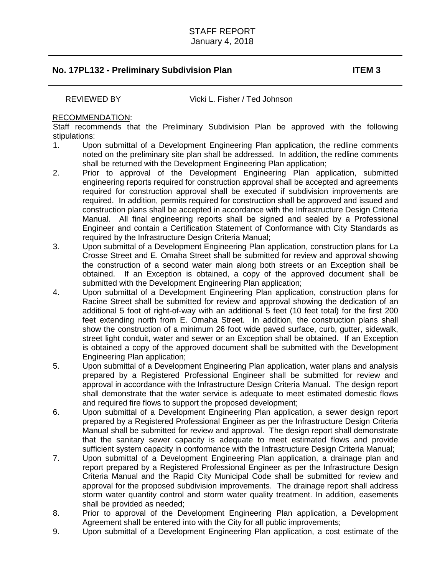REVIEWED BY Vicki L. Fisher / Ted Johnson

### RECOMMENDATION:

Staff recommends that the Preliminary Subdivision Plan be approved with the following stipulations:

- 1. Upon submittal of a Development Engineering Plan application, the redline comments noted on the preliminary site plan shall be addressed. In addition, the redline comments shall be returned with the Development Engineering Plan application;
- 2. Prior to approval of the Development Engineering Plan application, submitted engineering reports required for construction approval shall be accepted and agreements required for construction approval shall be executed if subdivision improvements are required. In addition, permits required for construction shall be approved and issued and construction plans shall be accepted in accordance with the Infrastructure Design Criteria Manual. All final engineering reports shall be signed and sealed by a Professional Engineer and contain a Certification Statement of Conformance with City Standards as required by the Infrastructure Design Criteria Manual;
- 3. Upon submittal of a Development Engineering Plan application, construction plans for La Crosse Street and E. Omaha Street shall be submitted for review and approval showing the construction of a second water main along both streets or an Exception shall be obtained. If an Exception is obtained, a copy of the approved document shall be submitted with the Development Engineering Plan application;
- 4. Upon submittal of a Development Engineering Plan application, construction plans for Racine Street shall be submitted for review and approval showing the dedication of an additional 5 foot of right-of-way with an additional 5 feet (10 feet total) for the first 200 feet extending north from E. Omaha Street. In addition, the construction plans shall show the construction of a minimum 26 foot wide paved surface, curb, gutter, sidewalk, street light conduit, water and sewer or an Exception shall be obtained. If an Exception is obtained a copy of the approved document shall be submitted with the Development Engineering Plan application;
- 5. Upon submittal of a Development Engineering Plan application, water plans and analysis prepared by a Registered Professional Engineer shall be submitted for review and approval in accordance with the Infrastructure Design Criteria Manual. The design report shall demonstrate that the water service is adequate to meet estimated domestic flows and required fire flows to support the proposed development;
- 6. Upon submittal of a Development Engineering Plan application, a sewer design report prepared by a Registered Professional Engineer as per the Infrastructure Design Criteria Manual shall be submitted for review and approval. The design report shall demonstrate that the sanitary sewer capacity is adequate to meet estimated flows and provide sufficient system capacity in conformance with the Infrastructure Design Criteria Manual;
- 7. Upon submittal of a Development Engineering Plan application, a drainage plan and report prepared by a Registered Professional Engineer as per the Infrastructure Design Criteria Manual and the Rapid City Municipal Code shall be submitted for review and approval for the proposed subdivision improvements. The drainage report shall address storm water quantity control and storm water quality treatment. In addition, easements shall be provided as needed;
- 8. Prior to approval of the Development Engineering Plan application, a Development Agreement shall be entered into with the City for all public improvements;
- 9. Upon submittal of a Development Engineering Plan application, a cost estimate of the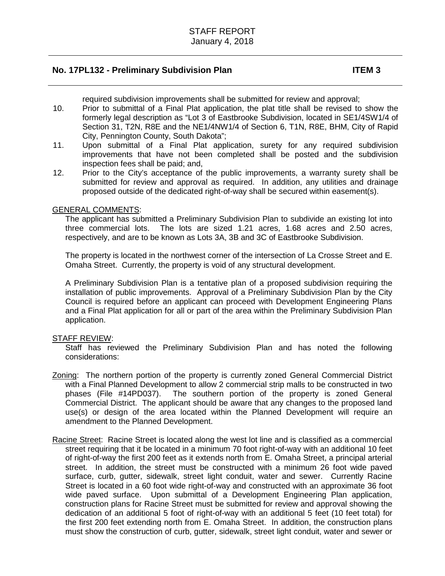required subdivision improvements shall be submitted for review and approval;

- 10. Prior to submittal of a Final Plat application, the plat title shall be revised to show the formerly legal description as "Lot 3 of Eastbrooke Subdivision, located in SE1/4SW1/4 of Section 31, T2N, R8E and the NE1/4NW1/4 of Section 6, T1N, R8E, BHM, City of Rapid City, Pennington County, South Dakota";
- 11. Upon submittal of a Final Plat application, surety for any required subdivision improvements that have not been completed shall be posted and the subdivision inspection fees shall be paid; and,
- 12. Prior to the City's acceptance of the public improvements, a warranty surety shall be submitted for review and approval as required. In addition, any utilities and drainage proposed outside of the dedicated right-of-way shall be secured within easement(s).

### GENERAL COMMENTS:

The applicant has submitted a Preliminary Subdivision Plan to subdivide an existing lot into three commercial lots. The lots are sized 1.21 acres, 1.68 acres and 2.50 acres, respectively, and are to be known as Lots 3A, 3B and 3C of Eastbrooke Subdivision.

The property is located in the northwest corner of the intersection of La Crosse Street and E. Omaha Street. Currently, the property is void of any structural development.

A Preliminary Subdivision Plan is a tentative plan of a proposed subdivision requiring the installation of public improvements. Approval of a Preliminary Subdivision Plan by the City Council is required before an applicant can proceed with Development Engineering Plans and a Final Plat application for all or part of the area within the Preliminary Subdivision Plan application.

### STAFF REVIEW:

Staff has reviewed the Preliminary Subdivision Plan and has noted the following considerations:

- Zoning: The northern portion of the property is currently zoned General Commercial District with a Final Planned Development to allow 2 commercial strip malls to be constructed in two phases (File #14PD037). The southern portion of the property is zoned General Commercial District. The applicant should be aware that any changes to the proposed land use(s) or design of the area located within the Planned Development will require an amendment to the Planned Development.
- Racine Street: Racine Street is located along the west lot line and is classified as a commercial street requiring that it be located in a minimum 70 foot right-of-way with an additional 10 feet of right-of-way the first 200 feet as it extends north from E. Omaha Street, a principal arterial street. In addition, the street must be constructed with a minimum 26 foot wide paved surface, curb, gutter, sidewalk, street light conduit, water and sewer. Currently Racine Street is located in a 60 foot wide right-of-way and constructed with an approximate 36 foot wide paved surface. Upon submittal of a Development Engineering Plan application, construction plans for Racine Street must be submitted for review and approval showing the dedication of an additional 5 foot of right-of-way with an additional 5 feet (10 feet total) for the first 200 feet extending north from E. Omaha Street. In addition, the construction plans must show the construction of curb, gutter, sidewalk, street light conduit, water and sewer or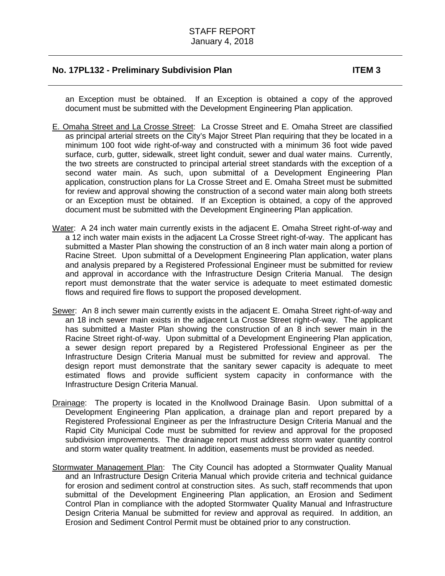an Exception must be obtained. If an Exception is obtained a copy of the approved document must be submitted with the Development Engineering Plan application.

- E. Omaha Street and La Crosse Street: La Crosse Street and E. Omaha Street are classified as principal arterial streets on the City's Major Street Plan requiring that they be located in a minimum 100 foot wide right-of-way and constructed with a minimum 36 foot wide paved surface, curb, gutter, sidewalk, street light conduit, sewer and dual water mains. Currently, the two streets are constructed to principal arterial street standards with the exception of a second water main. As such, upon submittal of a Development Engineering Plan application, construction plans for La Crosse Street and E. Omaha Street must be submitted for review and approval showing the construction of a second water main along both streets or an Exception must be obtained. If an Exception is obtained, a copy of the approved document must be submitted with the Development Engineering Plan application.
- Water: A 24 inch water main currently exists in the adjacent E. Omaha Street right-of-way and a 12 inch water main exists in the adjacent La Crosse Street right-of-way. The applicant has submitted a Master Plan showing the construction of an 8 inch water main along a portion of Racine Street. Upon submittal of a Development Engineering Plan application, water plans and analysis prepared by a Registered Professional Engineer must be submitted for review and approval in accordance with the Infrastructure Design Criteria Manual. The design report must demonstrate that the water service is adequate to meet estimated domestic flows and required fire flows to support the proposed development.
- Sewer: An 8 inch sewer main currently exists in the adjacent E. Omaha Street right-of-way and an 18 inch sewer main exists in the adjacent La Crosse Street right-of-way. The applicant has submitted a Master Plan showing the construction of an 8 inch sewer main in the Racine Street right-of-way. Upon submittal of a Development Engineering Plan application, a sewer design report prepared by a Registered Professional Engineer as per the Infrastructure Design Criteria Manual must be submitted for review and approval. The design report must demonstrate that the sanitary sewer capacity is adequate to meet estimated flows and provide sufficient system capacity in conformance with the Infrastructure Design Criteria Manual.
- Drainage: The property is located in the Knollwood Drainage Basin. Upon submittal of a Development Engineering Plan application, a drainage plan and report prepared by a Registered Professional Engineer as per the Infrastructure Design Criteria Manual and the Rapid City Municipal Code must be submitted for review and approval for the proposed subdivision improvements. The drainage report must address storm water quantity control and storm water quality treatment. In addition, easements must be provided as needed.
- Stormwater Management Plan: The City Council has adopted a Stormwater Quality Manual and an Infrastructure Design Criteria Manual which provide criteria and technical guidance for erosion and sediment control at construction sites. As such, staff recommends that upon submittal of the Development Engineering Plan application, an Erosion and Sediment Control Plan in compliance with the adopted Stormwater Quality Manual and Infrastructure Design Criteria Manual be submitted for review and approval as required. In addition, an Erosion and Sediment Control Permit must be obtained prior to any construction.